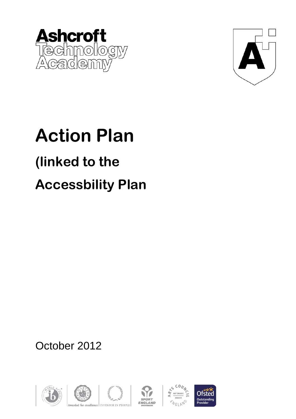



## **Action Plan (linked to the Accessbility Plan**

October 2012